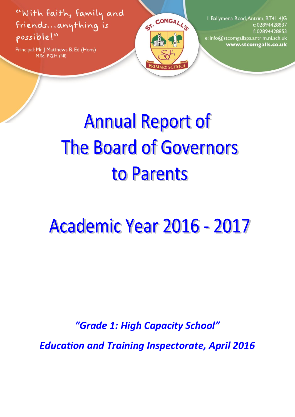"With faith, family and friends...anything is possible!"

Principal: Mr J Matthews B. Ed (Hons) M.Sc. P.Q.H. (NI)



I Ballymena Road, Antrim, BT41 4JG t: 02894428837 f: 02894428853 e: info@stcomgallsps.antrim.ni.sch.uk www.stcomgalls.co.uk

# **Annual Report of The Board of Governors** to Parents

# **Academic Year 2016 - 2017**

*"Grade 1: High Capacity School"* 

*Education and Training Inspectorate, April 2016*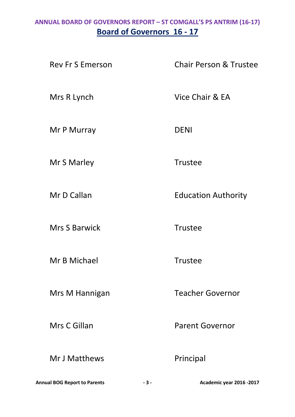## **ANNUAL BOARD OF GOVERNORS REPORT – ST COMGALL'S PS ANTRIM (16-17) Board of Governors 16 - 17**

Rev Fr S Emerson Chair Person & Trustee Mrs R Lynch Vice Chair & EA Mr P Murray DENI Mr S Marley **Trustee** Mr D Callan **Education Authority** Mrs S Barwick Trustee Mr B Michael **Trustee** Mrs M Hannigan Teacher Governor Mrs C Gillan **Parent Governor** Mr J Matthews Principal

**Annual BOG Report to Parents - 3 - Academic year 2016 -2017**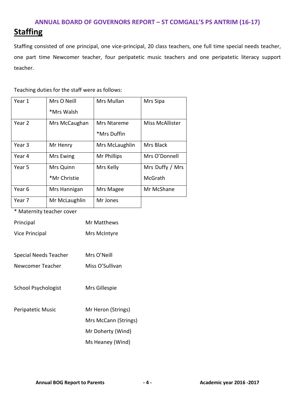## **Staffing**

Staffing consisted of one principal, one vice-principal, 20 class teachers, one full time special needs teacher, one part time Newcomer teacher, four peripatetic music teachers and one peripatetic literacy support teacher.

#### Teaching duties for the staff were as follows:

| Year 1 | Mrs O Neill<br>*Mrs Walsh | Mrs Mullan                 | Mrs Sipa                   |
|--------|---------------------------|----------------------------|----------------------------|
| Year 2 | Mrs McCaughan             | Mrs Ntareme<br>*Mrs Duffin | Miss McAllister            |
| Year 3 | Mr Henry                  | Mrs McLaughlin             | Mrs Black                  |
| Year 4 | Mrs Ewing                 | Mr Phillips                | Mrs O'Donnell              |
| Year 5 | Mrs Quinn<br>*Mr Christie | Mrs Kelly                  | Mrs Duffy / Mrs<br>McGrath |
| Year 6 | Mrs Hannigan              | Mrs Magee                  | Mr McShane                 |
| Year 7 | Mr McLaughlin             | Mr Jones                   |                            |

\* Maternity teacher cover

| Principal             | Mr Matthews          |
|-----------------------|----------------------|
| <b>Vice Principal</b> | Mrs McIntyre         |
|                       |                      |
| Special Needs Teacher | Mrs O'Neill          |
| Newcomer Teacher      | Miss O'Sullivan      |
|                       |                      |
| School Psychologist   | Mrs Gillespie        |
|                       |                      |
| Peripatetic Music     | Mr Heron (Strings)   |
|                       | Mrs McCann (Strings) |
|                       | Mr Doherty (Wind)    |
|                       | Ms Heaney (Wind)     |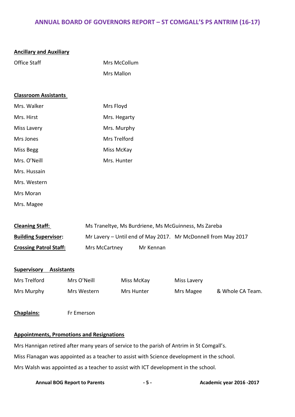| <b>Ancillary and Auxiliary</b>                                                            |             |                   |            |                                                               |                  |
|-------------------------------------------------------------------------------------------|-------------|-------------------|------------|---------------------------------------------------------------|------------------|
| <b>Office Staff</b>                                                                       |             | Mrs McCollum      |            |                                                               |                  |
|                                                                                           |             | Mrs Mallon        |            |                                                               |                  |
|                                                                                           |             |                   |            |                                                               |                  |
| <b>Classroom Assistants</b>                                                               |             |                   |            |                                                               |                  |
| Mrs. Walker                                                                               |             | Mrs Floyd         |            |                                                               |                  |
| Mrs. Hirst                                                                                |             | Mrs. Hegarty      |            |                                                               |                  |
| Miss Lavery                                                                               |             | Mrs. Murphy       |            |                                                               |                  |
| Mrs Jones                                                                                 |             | Mrs Trelford      |            |                                                               |                  |
| Miss Begg                                                                                 |             | <b>Miss McKay</b> |            |                                                               |                  |
| Mrs. O'Neill                                                                              |             | Mrs. Hunter       |            |                                                               |                  |
| Mrs. Hussain                                                                              |             |                   |            |                                                               |                  |
| Mrs. Western                                                                              |             |                   |            |                                                               |                  |
| Mrs Moran                                                                                 |             |                   |            |                                                               |                  |
| Mrs. Magee                                                                                |             |                   |            |                                                               |                  |
|                                                                                           |             |                   |            |                                                               |                  |
| <b>Cleaning Staff:</b>                                                                    |             |                   |            | Ms Traneltye, Ms Burdriene, Ms McGuinness, Ms Zareba          |                  |
| <b>Building Supervisor:</b>                                                               |             |                   |            | Mr Lavery - Until end of May 2017. Mr McDonnell from May 2017 |                  |
| <b>Crossing Patrol Staff:</b>                                                             |             | Mrs McCartney     | Mr Kennan  |                                                               |                  |
|                                                                                           |             |                   |            |                                                               |                  |
| <b>Supervisory Assistants</b>                                                             |             |                   |            |                                                               |                  |
| Mrs Trelford                                                                              | Mrs O'Neill |                   | Miss McKay | Miss Lavery                                                   |                  |
| Mrs Murphy                                                                                | Mrs Western |                   | Mrs Hunter | Mrs Magee                                                     | & Whole CA Team. |
| <b>Chaplains:</b>                                                                         | Fr Emerson  |                   |            |                                                               |                  |
|                                                                                           |             |                   |            |                                                               |                  |
| <b>Appointments, Promotions and Resignations</b>                                          |             |                   |            |                                                               |                  |
| Mrs Hannigan retired after many years of service to the parish of Antrim in St Comgall's. |             |                   |            |                                                               |                  |
|                                                                                           |             |                   |            |                                                               |                  |

Miss Flanagan was appointed as a teacher to assist with Science development in the school.

Mrs Walsh was appointed as a teacher to assist with ICT development in the school.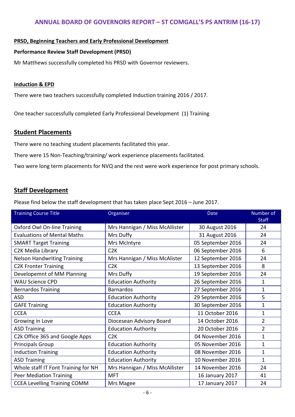#### **PRSD, Beginning Teachers and Early Professional Development**

#### **Performance Review Staff Development (PRSD)**

Mr Matthews successfully completed his PRSD with Governor reviewers.

#### **Induction & EPD**

There were two teachers successfully completed Induction training 2016 / 2017.

One teacher successfully completed Early Professional Development (1) Training

#### **Student Placements**

There were no teaching student placements facilitated this year.

There were 15 Non-Teaching/training/ work experience placements facilitated.

Two were long term placements for NVQ and the rest were work experience for post primary schools.

### **Staff Development**

Please find below the staff development that has taken place Sept 2016 – June 2017.

| <b>Training Course Title</b>        | Organiser                      | <b>Date</b>       | Number of      |
|-------------------------------------|--------------------------------|-------------------|----------------|
|                                     |                                |                   | <b>Staff</b>   |
| Oxford Owl On-line Training         | Mrs Hannigan / Miss McAllister | 30 August 2016    | 24             |
| <b>Evaluations of Mental Maths</b>  | Mrs Duffy                      | 31 August 2016    | 24             |
| <b>SMART Target Training</b>        | Mrs McIntyre                   | 05 September 2016 | 24             |
| C2K Media Library                   | C2K                            | 06 September 2016 | 6              |
| <b>Nelson Handwriting Training</b>  | Mrs Hannigan / Miss McAlister  | 12 September 2016 | 24             |
| <b>C2K Fronter Training</b>         | C2K                            | 13 September 2016 | 8              |
| Developemnt of MM Planning          | Mrs Duffy                      | 19 September 2016 | 24             |
| <b>WAU Science CPD</b>              | <b>Education Authority</b>     | 26 September 2016 | 1              |
| <b>Bernardos Training</b>           | <b>Barnardos</b>               | 27 September 2016 | $\mathbf{1}$   |
| <b>ASD</b>                          | <b>Education Authority</b>     | 29 September 2016 | 5              |
| <b>GAFE Training</b>                | <b>Education Authority</b>     | 30 September 2016 | $\mathbf{1}$   |
| <b>CCEA</b>                         | <b>CCEA</b>                    | 11 October 2016   | $\mathbf{1}$   |
| Growing in Love                     | Diocesean Advisory Board       | 14 October 2016   | 2              |
| <b>ASD Training</b>                 | <b>Education Authority</b>     | 20 October 2016   | $\overline{2}$ |
| C2k Office 365 and Google Apps      | C2K                            | 04 November 2016  | $\mathbf{1}$   |
| <b>Principals Group</b>             | <b>Education Authority</b>     | 05 November 2016  | $\mathbf{1}$   |
| <b>Induction Training</b>           | <b>Education Authority</b>     | 08 November 2016  | $\mathbf{1}$   |
| <b>ASD Training</b>                 | <b>Education Authority</b>     | 10 November 2016  | $\mathbf{1}$   |
| Whole staff IT Font Training for NH | Mrs Hannigan / Miss McAllister | 14 November 2016  | 24             |
| <b>Peer Mediation Training</b>      | <b>MFT</b>                     | 16 January 2017   | 41             |
| <b>CCEA Levelling Training COMM</b> | Mrs Magee                      | 17 January 2017   | 24             |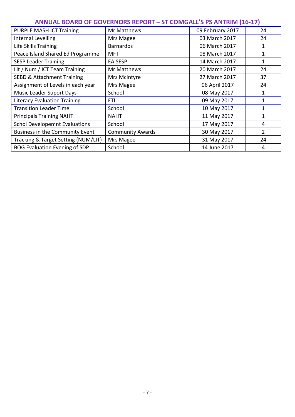| PURPLE MASH ICT Training              | Mr Matthews             | 09 February 2017 | 24             |
|---------------------------------------|-------------------------|------------------|----------------|
| Internal Levelling                    | Mrs Magee               | 03 March 2017    | 24             |
| Life Skills Training                  | <b>Barnardos</b>        | 06 March 2017    | 1              |
| Peace Island Shared Ed Programme      | <b>MFT</b>              | 08 March 2017    | $\mathbf{1}$   |
| <b>SESP Leader Training</b>           | EA SESP                 | 14 March 2017    | 1              |
| Lit / Num / ICT Team Training         | Mr Matthews             | 20 March 2017    | 24             |
| <b>SEBD &amp; Attachment Training</b> | Mrs McIntyre            | 27 March 2017    | 37             |
| Assignment of Levels in each year     | Mrs Magee               | 06 April 2017    | 24             |
| <b>Music Leader Suport Days</b>       | School                  | 08 May 2017      | $\mathbf{1}$   |
| <b>Literacy Evaluation Training</b>   | ETI                     | 09 May 2017      | 1              |
| <b>Transition Leader Time</b>         | School                  | 10 May 2017      | $\mathbf{1}$   |
| <b>Principals Training NAHT</b>       | <b>NAHT</b>             | 11 May 2017      | $\mathbf{1}$   |
| <b>Schol Developemnt Evaluations</b>  | School                  | 17 May 2017      | 4              |
| Business in the Community Event       | <b>Community Awards</b> | 30 May 2017      | $\overline{2}$ |
| Tracking & Target Setting (NUM/LIT)   | Mrs Magee               | 31 May 2017      | 24             |
| <b>BOG Evaluation Evening of SDP</b>  | School                  | 14 June 2017     | 4              |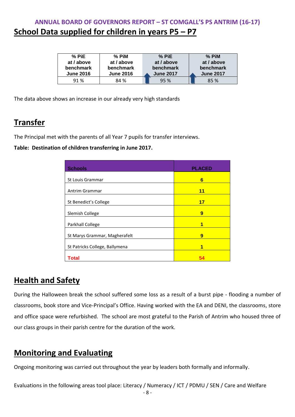## **ANNUAL BOARD OF GOVERNORS REPORT – ST COMGALL'S PS ANTRIM (16-17) School Data supplied for children in years P5 – P7**

| % PiE            | $%$ PiM          | % PiE            | $%$ PiM          |
|------------------|------------------|------------------|------------------|
| at / above       | at / above       | at / above       | at / above       |
| benchmark        | benchmark        | benchmark        | benchmark        |
| <b>June 2016</b> | <b>June 2016</b> | <b>June 2017</b> | <b>June 2017</b> |
| 91%              | 84 %             | 95 %             | 85 %             |

The data above shows an increase in our already very high standards

## **Transfer**

The Principal met with the parents of all Year 7 pupils for transfer interviews.

**Table: Destination of children transferring in June 2017.**

| <b>Schools</b>                 | <b>PLACED</b> |
|--------------------------------|---------------|
| St Louis Grammar               | 6             |
| Antrim Grammar                 | 11            |
| St Benedict's College          | 17            |
| Slemish College                | 9             |
| Parkhall College               | 1             |
| St Marys Grammar, Magherafelt  | 9             |
| St Patricks College, Ballymena | 1             |
| <b>Total</b>                   |               |

### **Health and Safety**

During the Halloween break the school suffered some loss as a result of a burst pipe - flooding a number of classrooms, book store and Vice-Principal's Office. Having worked with the EA and DENI, the classrooms, store and office space were refurbished. The school are most grateful to the Parish of Antrim who housed three of our class groups in their parish centre for the duration of the work.

## **Monitoring and Evaluating**

Ongoing monitoring was carried out throughout the year by leaders both formally and informally.

Evaluations in the following areas tool place: Literacy / Numeracy / ICT / PDMU / SEN / Care and Welfare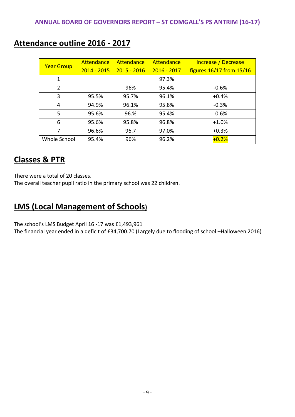| <b>Year Group</b> | Attendance    | Attendance    | Attendance    | Increase / Decrease      |
|-------------------|---------------|---------------|---------------|--------------------------|
|                   | $2014 - 2015$ | $2015 - 2016$ | $2016 - 2017$ | figures 16/17 from 15/16 |
| $\mathbf{1}$      |               |               | 97.3%         |                          |
| 2                 |               | 96%           | 95.4%         | $-0.6%$                  |
| 3                 | 95.5%         | 95.7%         | 96.1%         | $+0.4%$                  |
| 4                 | 94.9%         | 96.1%         | 95.8%         | $-0.3%$                  |
| 5                 | 95.6%         | 96.%          | 95.4%         | $-0.6%$                  |
| 6                 | 95.6%         | 95.8%         | 96.8%         | $+1.0%$                  |
| 7                 | 96.6%         | 96.7          | 97.0%         | $+0.3%$                  |
| Whole School      | 95.4%         | 96%           | 96.2%         | $+0.2%$                  |

## **Attendance outline 2016 - 2017**

## **Classes & PTR**

There were a total of 20 classes.

The overall teacher pupil ratio in the primary school was 22 children.

## **LMS (Local Management of Schools)**

The school's LMS Budget April 16 -17 was £1,493,961

The financial year ended in a deficit of £34,700.70 (Largely due to flooding of school –Halloween 2016)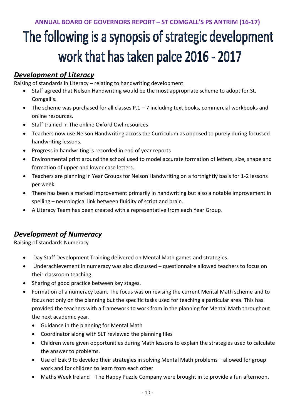# The following is a synopsis of strategic development work that has taken palce 2016 - 2017

## *Development of Literacy*

Raising of standards in Literacy – relating to handwriting development

- Staff agreed that Nelson Handwriting would be the most appropriate scheme to adopt for St. Comgall's.
- $\bullet$  The scheme was purchased for all classes P.1 7 including text books, commercial workbooks and online resources.
- Staff trained in The online Oxford Owl resources
- Teachers now use Nelson Handwriting across the Curriculum as opposed to purely during focussed handwriting lessons.
- Progress in handwriting is recorded in end of year reports
- Environmental print around the school used to model accurate formation of letters, size, shape and formation of upper and lower case letters.
- Teachers are planning in Year Groups for Nelson Handwriting on a fortnightly basis for 1-2 lessons per week.
- There has been a marked improvement primarily in handwriting but also a notable improvement in spelling – neurological link between fluidity of script and brain.
- A Literacy Team has been created with a representative from each Year Group.

## *Development of Numeracy*

Raising of standards Numeracy

- Day Staff Development Training delivered on Mental Math games and strategies.
- Underachievement in numeracy was also discussed questionnaire allowed teachers to focus on their classroom teaching.
- Sharing of good practice between key stages.
- Formation of a numeracy team. The focus was on revising the current Mental Math scheme and to focus not only on the planning but the specific tasks used for teaching a particular area. This has provided the teachers with a framework to work from in the planning for Mental Math throughout the next academic year.
	- Guidance in the planning for Mental Math
	- Coordinator along with SLT reviewed the planning files
	- Children were given opportunities during Math lessons to explain the strategies used to calculate the answer to problems.
	- Use of Izak 9 to develop their strategies in solving Mental Math problems allowed for group work and for children to learn from each other
	- Maths Week Ireland The Happy Puzzle Company were brought in to provide a fun afternoon.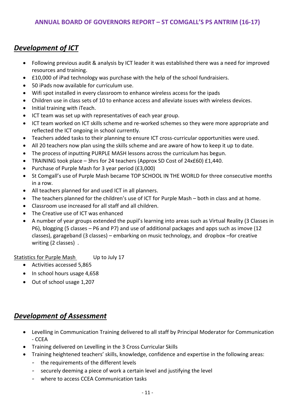### *Development of ICT*

- Following previous audit & analysis by ICT leader it was established there was a need for improved resources and training.
- £10,000 of iPad technology was purchase with the help of the school fundraisiers.
- 50 iPads now available for curriculum use.
- Wifi spot installed in every classroom to enhance wireless access for the ipads
- Children use in class sets of 10 to enhance access and alleviate issues with wireless devices.
- Initial training with iTeach.
- ICT team was set up with representatives of each year group.
- ICT team worked on ICT skills scheme and re-worked schemes so they were more appropriate and reflected the ICT ongoing in school currently.
- Teachers added tasks to their planning to ensure ICT cross-curricular opportunities were used.
- All 20 teachers now plan using the skills scheme and are aware of how to keep it up to date.
- The process of inputting PURPLE MASH lessons across the curriculum has begun.
- TRAINING took place 3hrs for 24 teachers (Approx SD Cost of  $24x£60$ ) £1,440.
- Purchase of Purple Mash for 3 year period (£3,000)
- St Comgall's use of Purple Mash became TOP SCHOOL IN THE WORLD for three consecutive months in a row.
- All teachers planned for and used ICT in all planners.
- The teachers planned for the children's use of ICT for Purple Mash both in class and at home.
- Classroom use increased for all staff and all children.
- The Creative use of ICT was enhanced
- A number of year groups extended the pupil's learning into areas such as Virtual Reality (3 Classes in P6), blogging (5 classes – P6 and P7) and use of additional packages and apps such as imove (12 classes), garageband (3 classes) – embarking on music technology, and dropbox –for creative writing (2 classes) .

Statistics for Purple Mash Up to July 17

- Activities accessed 5,865
- In school hours usage 4,658
- Out of school usage 1,207

#### *Development of Assessment*

- Levelling in Communication Training delivered to all staff by Principal Moderator for Communication - CCEA
- Training delivered on Levelling in the 3 Cross Curricular Skills
- Training heightened teachers' skills, knowledge, confidence and expertise in the following areas:
	- the requirements of the different levels
	- securely deeming a piece of work a certain level and justifying the level
	- where to access CCEA Communication tasks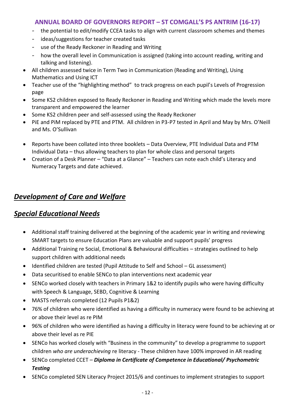- the potential to edit/modify CCEA tasks to align with current classroom schemes and themes
- ideas/suggestions for teacher created tasks
- use of the Ready Reckoner in Reading and Writing
- how the overall level in Communication is assigned (taking into account reading, writing and talking and listening).
- All children assessed twice in Term Two in Communication (Reading and Writing), Using Mathematics and Using ICT
- Teacher use of the "highlighting method" to track progress on each pupil's Levels of Progression page
- Some KS2 children exposed to Ready Reckoner in Reading and Writing which made the levels more transparent and empowered the learner
- Some KS2 children peer and self-assessed using the Ready Reckoner
- PiE and PiM replaced by PTE and PTM. All children in P3-P7 tested in April and May by Mrs. O'Neill and Ms. O'Sullivan
- Reports have been collated into three booklets Data Overview, PTE Individual Data and PTM Individual Data – thus allowing teachers to plan for whole class and personal targets
- Creation of a Desk Planner "Data at a Glance" Teachers can note each child's Literacy and Numeracy Targets and date achieved.

### *Development of Care and Welfare*

#### *Special Educational Needs*

- Additional staff training delivered at the beginning of the academic year in writing and reviewing SMART targets to ensure Education Plans are valuable and support pupils' progress
- Additional Training re Social, Emotional & Behavioural difficulties strategies outlined to help support children with additional needs
- Identified children are tested (Pupil Attitude to Self and School GL assessment)
- Data securitised to enable SENCo to plan interventions next academic year
- SENCo worked closely with teachers in Primary 1&2 to identify pupils who were having difficulty with Speech & Language, SEBD, Cognitive & Learning
- MASTS referrals completed (12 Pupils P1&2)
- 76% of children who were identified as having a difficulty in numeracy were found to be achieving at or above their level as re PIM
- 96% of children who were identified as having a difficulty in literacy were found to be achieving at or above their level as re PIE
- SENCo has worked closely with "Business in the community" to develop a programme to support children *who are underachieving* re literacy - These children have 100% improved in AR reading
- SENCo completed CCET *Diploma in Certificate of Competence in Educational/ Psychometric Testing*
- SENCo completed SEN Literacy Project 2015/6 and continues to implement strategies to support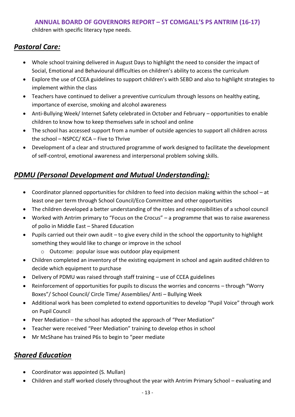children with specific literacy type needs.

## *Pastoral Care:*

- Whole school training delivered in August Days to highlight the need to consider the impact of Social, Emotional and Behavioural difficulties on children's ability to access the curriculum
- Explore the use of CCEA guidelines to support children's with SEBD and also to highlight strategies to implement within the class
- Teachers have continued to deliver a preventive curriculum through lessons on healthy eating, importance of exercise, smoking and alcohol awareness
- Anti-Bullying Week/ Internet Safety celebrated in October and February opportunities to enable children to know how to keep themselves safe in school and online
- The school has accessed support from a number of outside agencies to support all children across the school – NSPCC/ KCA – Five to Thrive
- Development of a clear and structured programme of work designed to facilitate the development of self-control, emotional awareness and interpersonal problem solving skills.

## *PDMU (Personal Development and Mutual Understanding):*

- Coordinator planned opportunities for children to feed into decision making within the school at least one per term through School Council/Eco Committee and other opportunities
- The children developed a better understanding of the roles and responsibilities of a school council
- Worked with Antrim primary to "Focus on the Crocus" a programme that was to raise awareness of polio in Middle East – Shared Education
- Pupils carried out their own audit to give every child in the school the opportunity to highlight something they would like to change or improve in the school
	- o Outcome: popular issue was outdoor play equipment
- Children completed an inventory of the existing equipment in school and again audited children to decide which equipment to purchase
- Delivery of PDMU was raised through staff training use of CCEA guidelines
- Reinforcement of opportunities for pupils to discuss the worries and concerns through "Worry Boxes"/ School Council/ Circle Time/ Assemblies/ Anti – Bullying Week
- Additional work has been completed to extend opportunities to develop "Pupil Voice" through work on Pupil Council
- Peer Mediation the school has adopted the approach of "Peer Mediation"
- Teacher were received "Peer Mediation" training to develop ethos in school
- Mr McShane has trained P6s to begin to "peer mediate

### *Shared Education*

- Coordinator was appointed (S. Mullan)
- Children and staff worked closely throughout the year with Antrim Primary School evaluating and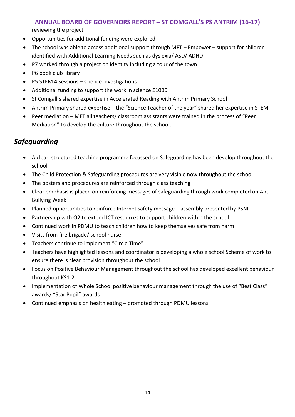reviewing the project

- Opportunities for additional funding were explored
- The school was able to access additional support through MFT Empower support for children identified with Additional Learning Needs such as dyslexia/ ASD/ ADHD
- P7 worked through a project on identity including a tour of the town
- P6 book club library
- P5 STEM 4 sessions science investigations
- Additional funding to support the work in science £1000
- St Comgall's shared expertise in Accelerated Reading with Antrim Primary School
- Antrim Primary shared expertise the "Science Teacher of the year" shared her expertise in STEM
- Peer mediation MFT all teachers/ classroom assistants were trained in the process of "Peer Mediation" to develop the culture throughout the school.

## *Safeguarding*

- A clear, structured teaching programme focussed on Safeguarding has been develop throughout the school
- The Child Protection & Safeguarding procedures are very visible now throughout the school
- The posters and procedures are reinforced through class teaching
- Clear emphasis is placed on reinforcing messages of safeguarding through work completed on Anti Bullying Week
- Planned opportunities to reinforce Internet safety message assembly presented by PSNI
- Partnership with O2 to extend ICT resources to support children within the school
- Continued work in PDMU to teach children how to keep themselves safe from harm
- Visits from fire brigade/ school nurse
- Teachers continue to implement "Circle Time"
- Teachers have highlighted lessons and coordinator is developing a whole school Scheme of work to ensure there is clear provision throughout the school
- Focus on Positive Behaviour Management throughout the school has developed excellent behaviour throughout KS1-2
- Implementation of Whole School positive behaviour management through the use of "Best Class" awards/ "Star Pupil" awards
- Continued emphasis on health eating promoted through PDMU lessons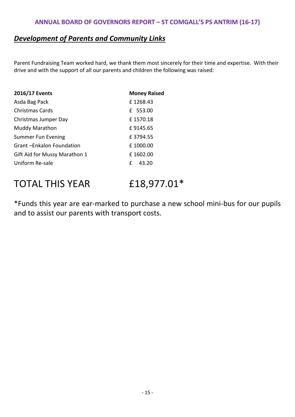#### *Development of Parents and Community Links*

Parent Fundraising Team worked hard, we thank them most sincerely for their time and expertise. With their drive and with the support of all our parents and children the following was raised:

| 2016/17 Events                | <b>Money Raised</b> |
|-------------------------------|---------------------|
| Asda Bag Pack                 | £1268.43            |
| <b>Christmas Cards</b>        | £ 553.00            |
| Christmas Jumper Day          | £1570.18            |
| <b>Muddy Marathon</b>         | £9145.65            |
| <b>Summer Fun Evening</b>     | £3794.55            |
| Grant-Enkalon Foundation      | £1000.00            |
| Gift Aid for Mussy Marathon 1 | £1602.00            |
| Uniform Re-sale               | £<br>43.20          |

# TOTAL THIS YEAR £18,977.01\*

\*Funds this year are ear-marked to purchase a new school mini-bus for our pupils and to assist our parents with transport costs.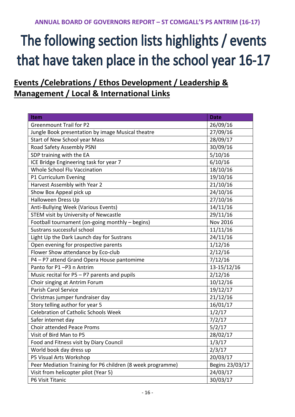# The following section lists highlights / events that have taken place in the school year 16-17

# **Events /Celebrations / Ethos Development / Leadership & Management / Local & International Links**

| <b>Item</b>                                                | <b>Date</b>     |
|------------------------------------------------------------|-----------------|
| <b>Greenmount Trail for P2</b>                             | 26/09/16        |
| Jungle Book presentation by image Musical theatre          | 27/09/16        |
| Start of New School year Mass                              | 28/09/17        |
| Road Safety Assembly PSNI                                  | 30/09/16        |
| SDP training with the EA                                   | 5/10/16         |
| ICE Bridge Engineering task for year 7                     | 6/10/16         |
| Whole School Flu Vaccination                               | 18/10/16        |
| P1 Curriculum Evening                                      | 19/10/16        |
| Harvest Assembly with Year 2                               | 21/10/16        |
| Show Box Appeal pick up                                    | 24/10/16        |
| Halloween Dress Up                                         | 27/10/16        |
| Anti-Bullying Week (Various Events)                        | 14/11/16        |
| STEM visit by University of Newcastle                      | 29/11/16        |
| Football tournament (on-going monthly - begins)            | Nov 2016        |
| Sustrans successful school                                 | 11/11/16        |
| Light Up the Dark Launch day for Sustrans                  | 24/11/16        |
| Open evening for prospective parents                       | 1/12/16         |
| Flower Show attendance by Eco-club                         | 2/12/16         |
| P4 - P7 attend Grand Opera House pantomime                 | 7/12/16         |
| Panto for P1-P3 n Antrim                                   | 13-15/12/16     |
| Music recital for P5 - P7 parents and pupils               | 2/12/16         |
| Choir singing at Antrim Forum                              | 10/12/16        |
| Parish Carol Service                                       | 19/12/17        |
| Christmas jumper fundraiser day                            | 21/12/16        |
| Story telling author for year 5                            | 16/01/17        |
| <b>Celebration of Catholic Schools Week</b>                | 1/2/17          |
| Safer internet day                                         | 7/2/17          |
| Choir attended Peace Proms                                 | 5/2/17          |
| Visit of Bird Man to P5                                    | 28/02/17        |
| Food and Fitness visit by Diary Council                    | 1/3/17          |
| World book day dress up                                    | 2/3/17          |
| P5 Visual Arts Workshop                                    | 20/03/17        |
| Peer Mediation Training for P6 children (8 week programme) | Begins 23/03/17 |
| Visit from helicopter pilot (Year 5)                       | 24/03/17        |
| P6 Visit Titanic                                           | 30/03/17        |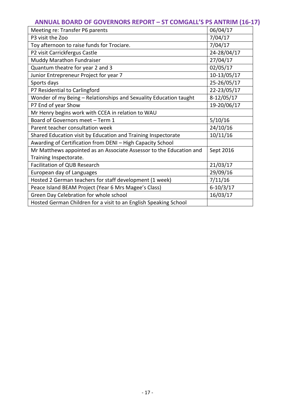| Meeting re: Transfer P6 parents                                     | 06/04/17     |
|---------------------------------------------------------------------|--------------|
| P3 visit the Zoo                                                    | 7/04/17      |
| Toy afternoon to raise funds for Trociare.                          | 7/04/17      |
| P2 visit Carrickfergus Castle                                       | 24-28/04/17  |
| Muddy Marathon Fundraiser                                           | 27/04/17     |
| Quantum theatre for year 2 and 3                                    | 02/05/17     |
| Junior Entrepreneur Project for year 7                              | 10-13/05/17  |
| Sports days                                                         | 25-26/05/17  |
| P7 Residential to Carlingford                                       | 22-23/05/17  |
| Wonder of my Being - Relationships and Sexuality Education taught   | $8-12/05/17$ |
| P7 End of year Show                                                 | 19-20/06/17  |
| Mr Henry begins work with CCEA in relation to WAU                   |              |
| Board of Governors meet - Term 1                                    | 5/10/16      |
| Parent teacher consultation week                                    | 24/10/16     |
| Shared Education visit by Education and Training Inspectorate       | 10/11/16     |
| Awarding of Certification from DENI - High Capacity School          |              |
| Mr Matthews appointed as an Associate Assessor to the Education and | Sept 2016    |
| Training Inspectorate.                                              |              |
| Facilitation of QUB Research                                        | 21/03/17     |
| European day of Languages                                           | 29/09/16     |
| Hosted 2 German teachers for staff development (1 week)             | 7/11/16      |
| Peace Island BEAM Project (Year 6 Mrs Magee's Class)                | $6-10/3/17$  |
| Green Day Celebration for whole school                              | 16/03/17     |
| Hosted German Children for a visit to an English Speaking School    |              |